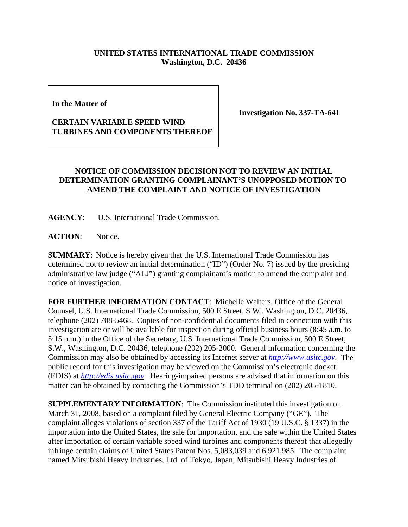## **UNITED STATES INTERNATIONAL TRADE COMMISSION Washington, D.C. 20436**

**In the Matter of** 

## **CERTAIN VARIABLE SPEED WIND TURBINES AND COMPONENTS THEREOF**

**Investigation No. 337-TA-641**

## **NOTICE OF COMMISSION DECISION NOT TO REVIEW AN INITIAL DETERMINATION GRANTING COMPLAINANT'S UNOPPOSED MOTION TO AMEND THE COMPLAINT AND NOTICE OF INVESTIGATION**

**AGENCY**: U.S. International Trade Commission.

**ACTION**: Notice.

**SUMMARY**: Notice is hereby given that the U.S. International Trade Commission has determined not to review an initial determination ("ID") (Order No. 7) issued by the presiding administrative law judge ("ALJ") granting complainant's motion to amend the complaint and notice of investigation.

**FOR FURTHER INFORMATION CONTACT**: Michelle Walters, Office of the General Counsel, U.S. International Trade Commission, 500 E Street, S.W., Washington, D.C. 20436, telephone (202) 708-5468. Copies of non-confidential documents filed in connection with this investigation are or will be available for inspection during official business hours (8:45 a.m. to 5:15 p.m.) in the Office of the Secretary, U.S. International Trade Commission, 500 E Street, S.W., Washington, D.C. 20436, telephone (202) 205-2000. General information concerning the Commission may also be obtained by accessing its Internet server at *http://www.usitc.gov*. The public record for this investigation may be viewed on the Commission's electronic docket (EDIS) at *http://edis.usitc.gov*. Hearing-impaired persons are advised that information on this matter can be obtained by contacting the Commission's TDD terminal on (202) 205-1810.

**SUPPLEMENTARY INFORMATION**: The Commission instituted this investigation on March 31, 2008, based on a complaint filed by General Electric Company ("GE"). The complaint alleges violations of section 337 of the Tariff Act of 1930 (19 U.S.C. § 1337) in the importation into the United States, the sale for importation, and the sale within the United States after importation of certain variable speed wind turbines and components thereof that allegedly infringe certain claims of United States Patent Nos. 5,083,039 and 6,921,985. The complaint named Mitsubishi Heavy Industries, Ltd. of Tokyo, Japan, Mitsubishi Heavy Industries of